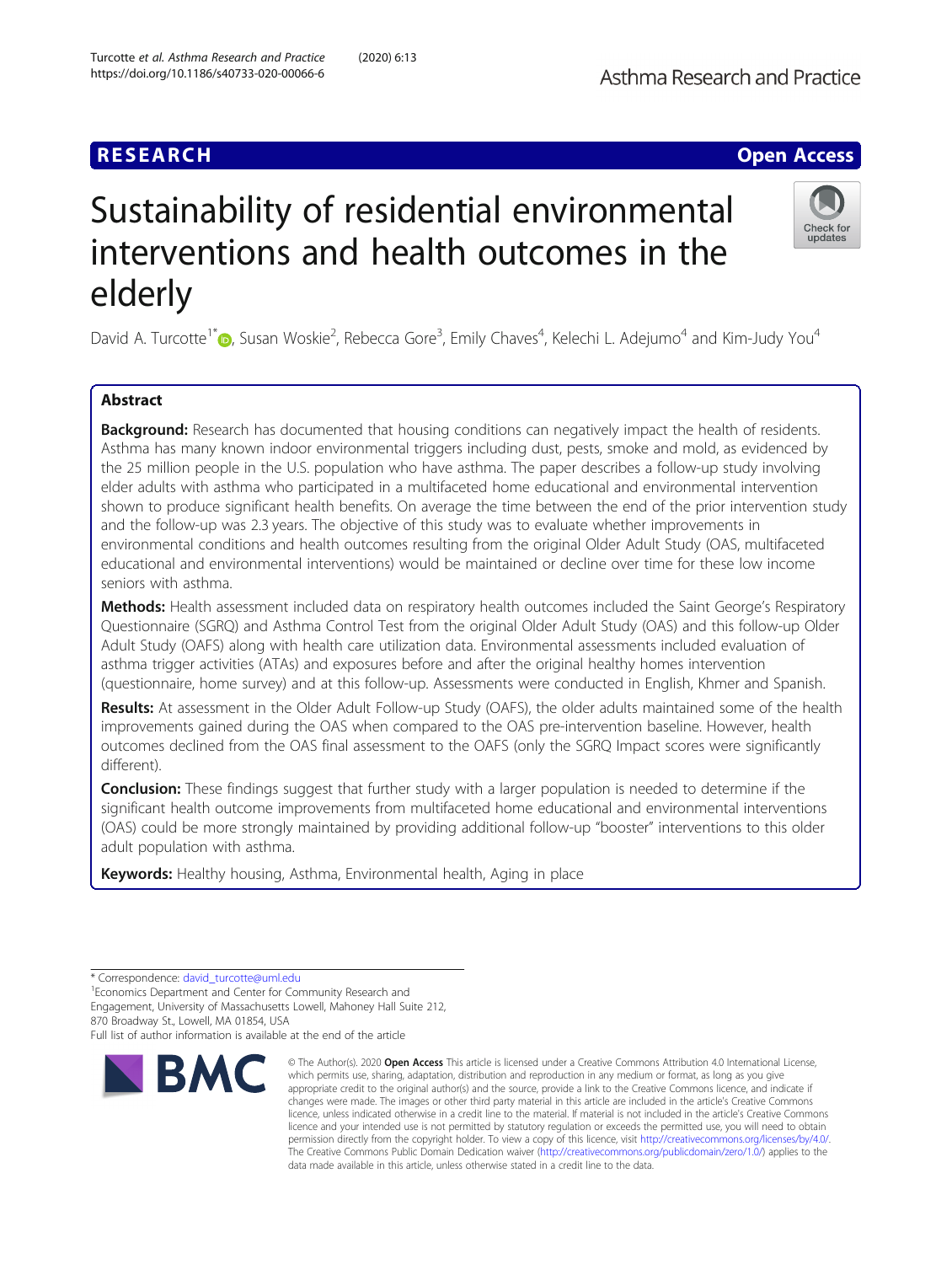## Sustainability of residential environmental interventions and health outcomes in the elderly

David A. Turcotte<sup>1[\\*](http://orcid.org/0000-0003-3641-1234)</sup> (**p**, Susan Woskie<sup>2</sup>, Rebecca Gore<sup>3</sup>, Emily Chaves<sup>4</sup>, Kelechi L. Adejumo<sup>4</sup> and Kim-Judy You<sup>4</sup>

### Abstract

**Background:** Research has documented that housing conditions can negatively impact the health of residents. Asthma has many known indoor environmental triggers including dust, pests, smoke and mold, as evidenced by the 25 million people in the U.S. population who have asthma. The paper describes a follow-up study involving elder adults with asthma who participated in a multifaceted home educational and environmental intervention shown to produce significant health benefits. On average the time between the end of the prior intervention study and the follow-up was 2.3 years. The objective of this study was to evaluate whether improvements in environmental conditions and health outcomes resulting from the original Older Adult Study (OAS, multifaceted educational and environmental interventions) would be maintained or decline over time for these low income seniors with asthma.

Methods: Health assessment included data on respiratory health outcomes included the Saint George's Respiratory Questionnaire (SGRQ) and Asthma Control Test from the original Older Adult Study (OAS) and this follow-up Older Adult Study (OAFS) along with health care utilization data. Environmental assessments included evaluation of asthma trigger activities (ATAs) and exposures before and after the original healthy homes intervention (questionnaire, home survey) and at this follow-up. Assessments were conducted in English, Khmer and Spanish.

Results: At assessment in the Older Adult Follow-up Study (OAFS), the older adults maintained some of the health improvements gained during the OAS when compared to the OAS pre-intervention baseline. However, health outcomes declined from the OAS final assessment to the OAFS (only the SGRQ Impact scores were significantly different).

**Conclusion:** These findings suggest that further study with a larger population is needed to determine if the significant health outcome improvements from multifaceted home educational and environmental interventions (OAS) could be more strongly maintained by providing additional follow-up "booster" interventions to this older adult population with asthma.

Keywords: Healthy housing, Asthma, Environmental health, Aging in place

<sup>1</sup> Economics Department and Center for Community Research and Engagement, University of Massachusetts Lowell, Mahoney Hall Suite 212, 870 Broadway St., Lowell, MA 01854, USA

Full list of author information is available at the end of the article

#### © The Author(s), 2020 **Open Access** This article is licensed under a Creative Commons Attribution 4.0 International License, **BMC** which permits use, sharing, adaptation, distribution and reproduction in any medium or format, as long as you give appropriate credit to the original author(s) and the source, provide a link to the Creative Commons licence, and indicate if changes were made. The images or other third party material in this article are included in the article's Creative Commons licence, unless indicated otherwise in a credit line to the material. If material is not included in the article's Creative Commons licence and your intended use is not permitted by statutory regulation or exceeds the permitted use, you will need to obtain permission directly from the copyright holder. To view a copy of this licence, visit [http://creativecommons.org/licenses/by/4.0/.](http://creativecommons.org/licenses/by/4.0/) The Creative Commons Public Domain Dedication waiver [\(http://creativecommons.org/publicdomain/zero/1.0/](http://creativecommons.org/publicdomain/zero/1.0/)) applies to the

data made available in this article, unless otherwise stated in a credit line to the data.

# **RESEARCH CHE Open Access**





<sup>\*</sup> Correspondence: [david\\_turcotte@uml.edu](mailto:david_turcotte@uml.edu) <sup>1</sup>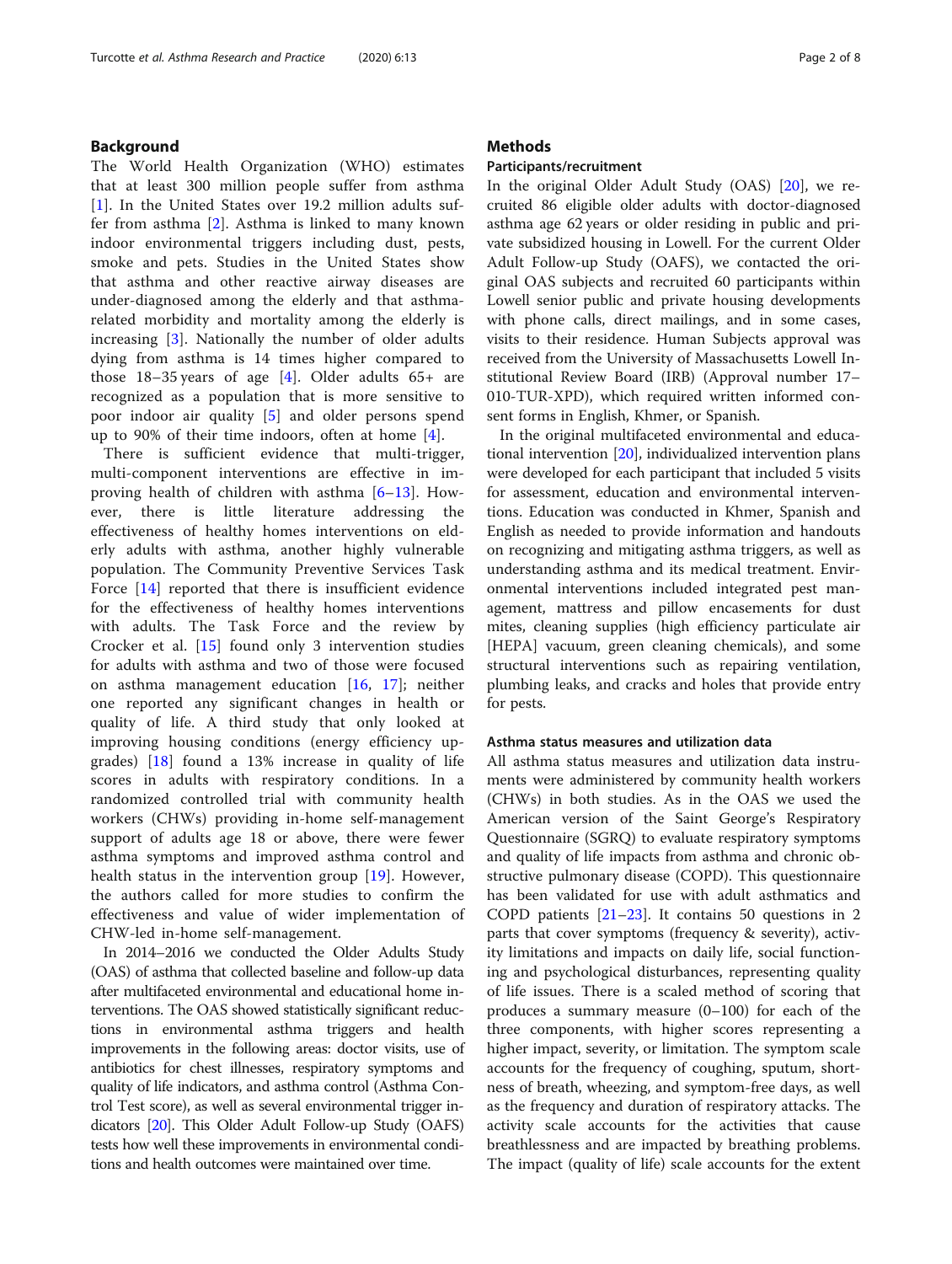#### Background

The World Health Organization (WHO) estimates that at least 300 million people suffer from asthma [[1\]](#page-6-0). In the United States over 19.2 million adults suffer from asthma [[2\]](#page-6-0). Asthma is linked to many known indoor environmental triggers including dust, pests, smoke and pets. Studies in the United States show that asthma and other reactive airway diseases are under-diagnosed among the elderly and that asthmarelated morbidity and mortality among the elderly is increasing [\[3](#page-6-0)]. Nationally the number of older adults dying from asthma is 14 times higher compared to those 18–35 years of age [[4\]](#page-6-0). Older adults  $65+$  are recognized as a population that is more sensitive to poor indoor air quality [[5\]](#page-6-0) and older persons spend up to 90% of their time indoors, often at home [[4\]](#page-6-0).

There is sufficient evidence that multi-trigger, multi-component interventions are effective in improving health of children with asthma [[6](#page-6-0)–[13\]](#page-7-0). However, there is little literature addressing the effectiveness of healthy homes interventions on elderly adults with asthma, another highly vulnerable population. The Community Preventive Services Task Force [[14\]](#page-7-0) reported that there is insufficient evidence for the effectiveness of healthy homes interventions with adults. The Task Force and the review by Crocker et al. [\[15](#page-7-0)] found only 3 intervention studies for adults with asthma and two of those were focused on asthma management education [\[16,](#page-7-0) [17](#page-7-0)]; neither one reported any significant changes in health or quality of life. A third study that only looked at improving housing conditions (energy efficiency upgrades) [[18\]](#page-7-0) found a 13% increase in quality of life scores in adults with respiratory conditions. In a randomized controlled trial with community health workers (CHWs) providing in-home self-management support of adults age 18 or above, there were fewer asthma symptoms and improved asthma control and health status in the intervention group [[19\]](#page-7-0). However, the authors called for more studies to confirm the effectiveness and value of wider implementation of CHW-led in-home self-management.

In 2014–2016 we conducted the Older Adults Study (OAS) of asthma that collected baseline and follow-up data after multifaceted environmental and educational home interventions. The OAS showed statistically significant reductions in environmental asthma triggers and health improvements in the following areas: doctor visits, use of antibiotics for chest illnesses, respiratory symptoms and quality of life indicators, and asthma control (Asthma Control Test score), as well as several environmental trigger indicators [\[20](#page-7-0)]. This Older Adult Follow-up Study (OAFS) tests how well these improvements in environmental conditions and health outcomes were maintained over time.

#### **Methods**

#### Participants/recruitment

In the original Older Adult Study (OAS) [[20\]](#page-7-0), we recruited 86 eligible older adults with doctor-diagnosed asthma age 62 years or older residing in public and private subsidized housing in Lowell. For the current Older Adult Follow-up Study (OAFS), we contacted the original OAS subjects and recruited 60 participants within Lowell senior public and private housing developments with phone calls, direct mailings, and in some cases, visits to their residence. Human Subjects approval was received from the University of Massachusetts Lowell Institutional Review Board (IRB) (Approval number 17– 010-TUR-XPD), which required written informed consent forms in English, Khmer, or Spanish.

In the original multifaceted environmental and educational intervention  $[20]$  $[20]$ , individualized intervention plans were developed for each participant that included 5 visits for assessment, education and environmental interventions. Education was conducted in Khmer, Spanish and English as needed to provide information and handouts on recognizing and mitigating asthma triggers, as well as understanding asthma and its medical treatment. Environmental interventions included integrated pest management, mattress and pillow encasements for dust mites, cleaning supplies (high efficiency particulate air [HEPA] vacuum, green cleaning chemicals), and some structural interventions such as repairing ventilation, plumbing leaks, and cracks and holes that provide entry for pests.

#### Asthma status measures and utilization data

All asthma status measures and utilization data instruments were administered by community health workers (CHWs) in both studies. As in the OAS we used the American version of the Saint George's Respiratory Questionnaire (SGRQ) to evaluate respiratory symptoms and quality of life impacts from asthma and chronic obstructive pulmonary disease (COPD). This questionnaire has been validated for use with adult asthmatics and COPD patients [[21](#page-7-0)–[23](#page-7-0)]. It contains 50 questions in 2 parts that cover symptoms (frequency & severity), activity limitations and impacts on daily life, social functioning and psychological disturbances, representing quality of life issues. There is a scaled method of scoring that produces a summary measure (0–100) for each of the three components, with higher scores representing a higher impact, severity, or limitation. The symptom scale accounts for the frequency of coughing, sputum, shortness of breath, wheezing, and symptom-free days, as well as the frequency and duration of respiratory attacks. The activity scale accounts for the activities that cause breathlessness and are impacted by breathing problems. The impact (quality of life) scale accounts for the extent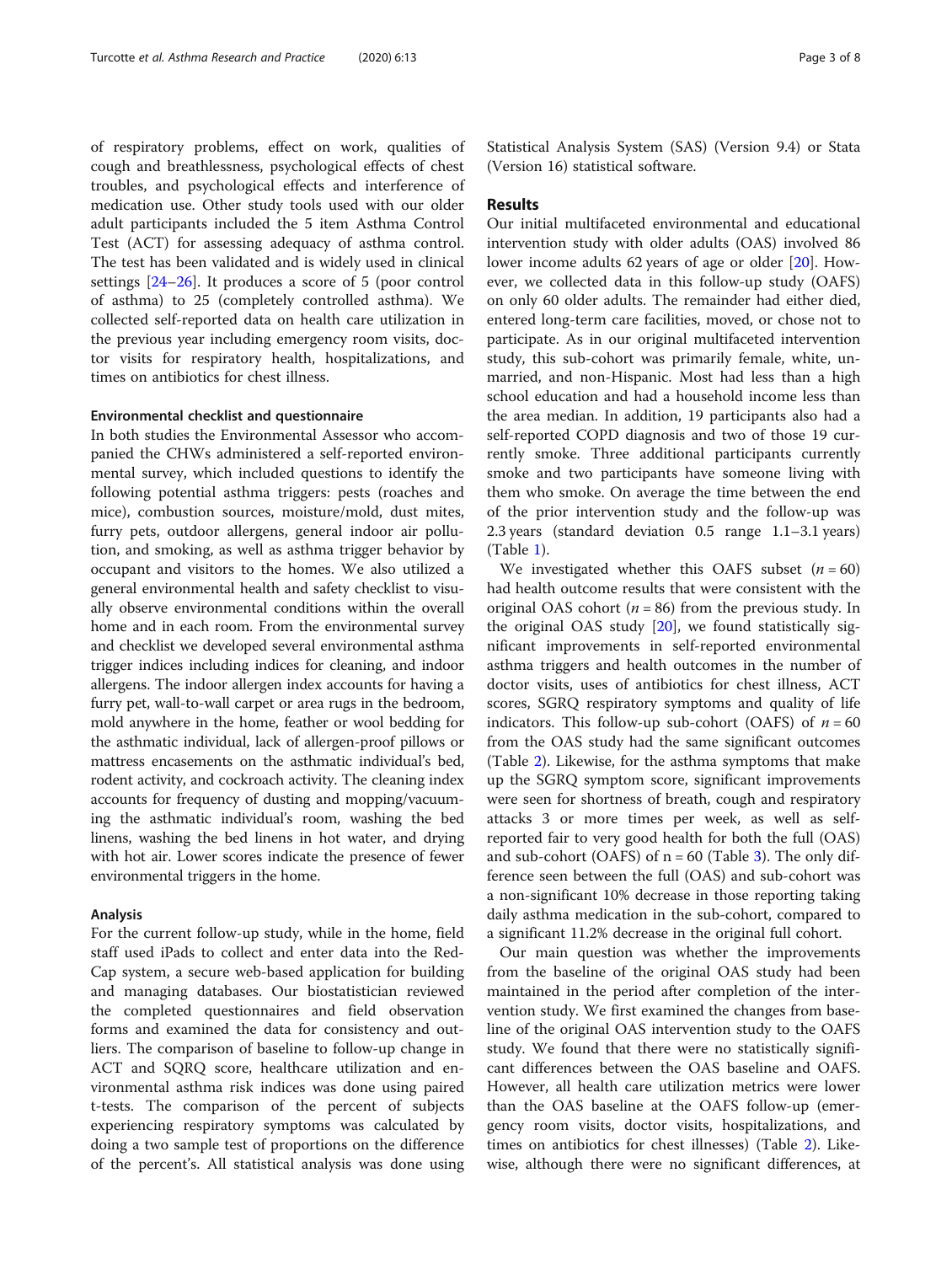of respiratory problems, effect on work, qualities of cough and breathlessness, psychological effects of chest troubles, and psychological effects and interference of medication use. Other study tools used with our older adult participants included the 5 item Asthma Control Test (ACT) for assessing adequacy of asthma control. The test has been validated and is widely used in clinical settings [[24](#page-7-0)–[26](#page-7-0)]. It produces a score of 5 (poor control of asthma) to 25 (completely controlled asthma). We collected self-reported data on health care utilization in the previous year including emergency room visits, doctor visits for respiratory health, hospitalizations, and times on antibiotics for chest illness.

#### Environmental checklist and questionnaire

In both studies the Environmental Assessor who accompanied the CHWs administered a self-reported environmental survey, which included questions to identify the following potential asthma triggers: pests (roaches and mice), combustion sources, moisture/mold, dust mites, furry pets, outdoor allergens, general indoor air pollution, and smoking, as well as asthma trigger behavior by occupant and visitors to the homes. We also utilized a general environmental health and safety checklist to visually observe environmental conditions within the overall home and in each room. From the environmental survey and checklist we developed several environmental asthma trigger indices including indices for cleaning, and indoor allergens. The indoor allergen index accounts for having a furry pet, wall-to-wall carpet or area rugs in the bedroom, mold anywhere in the home, feather or wool bedding for the asthmatic individual, lack of allergen-proof pillows or mattress encasements on the asthmatic individual's bed, rodent activity, and cockroach activity. The cleaning index accounts for frequency of dusting and mopping/vacuuming the asthmatic individual's room, washing the bed linens, washing the bed linens in hot water, and drying with hot air. Lower scores indicate the presence of fewer environmental triggers in the home.

#### Analysis

For the current follow-up study, while in the home, field staff used iPads to collect and enter data into the Red-Cap system, a secure web-based application for building and managing databases. Our biostatistician reviewed the completed questionnaires and field observation forms and examined the data for consistency and outliers. The comparison of baseline to follow-up change in ACT and SQRQ score, healthcare utilization and environmental asthma risk indices was done using paired t-tests. The comparison of the percent of subjects experiencing respiratory symptoms was calculated by doing a two sample test of proportions on the difference of the percent's. All statistical analysis was done using Statistical Analysis System (SAS) (Version 9.4) or Stata (Version 16) statistical software.

#### **Results**

Our initial multifaceted environmental and educational intervention study with older adults (OAS) involved 86 lower income adults 62 years of age or older [[20\]](#page-7-0). However, we collected data in this follow-up study (OAFS) on only 60 older adults. The remainder had either died, entered long-term care facilities, moved, or chose not to participate. As in our original multifaceted intervention study, this sub-cohort was primarily female, white, unmarried, and non-Hispanic. Most had less than a high school education and had a household income less than the area median. In addition, 19 participants also had a self-reported COPD diagnosis and two of those 19 currently smoke. Three additional participants currently smoke and two participants have someone living with them who smoke. On average the time between the end of the prior intervention study and the follow-up was 2.3 years (standard deviation 0.5 range 1.1–3.1 years) (Table [1\)](#page-3-0).

We investigated whether this OAFS subset  $(n = 60)$ had health outcome results that were consistent with the original OAS cohort ( $n = 86$ ) from the previous study. In the original OAS study [\[20\]](#page-7-0), we found statistically significant improvements in self-reported environmental asthma triggers and health outcomes in the number of doctor visits, uses of antibiotics for chest illness, ACT scores, SGRQ respiratory symptoms and quality of life indicators. This follow-up sub-cohort (OAFS) of  $n = 60$ from the OAS study had the same significant outcomes (Table [2](#page-4-0)). Likewise, for the asthma symptoms that make up the SGRQ symptom score, significant improvements were seen for shortness of breath, cough and respiratory attacks 3 or more times per week, as well as selfreported fair to very good health for both the full (OAS) and sub-cohort (OAFS) of  $n = 60$  (Table [3\)](#page-4-0). The only difference seen between the full (OAS) and sub-cohort was a non-significant 10% decrease in those reporting taking daily asthma medication in the sub-cohort, compared to a significant 11.2% decrease in the original full cohort.

Our main question was whether the improvements from the baseline of the original OAS study had been maintained in the period after completion of the intervention study. We first examined the changes from baseline of the original OAS intervention study to the OAFS study. We found that there were no statistically significant differences between the OAS baseline and OAFS. However, all health care utilization metrics were lower than the OAS baseline at the OAFS follow-up (emergency room visits, doctor visits, hospitalizations, and times on antibiotics for chest illnesses) (Table [2](#page-4-0)). Likewise, although there were no significant differences, at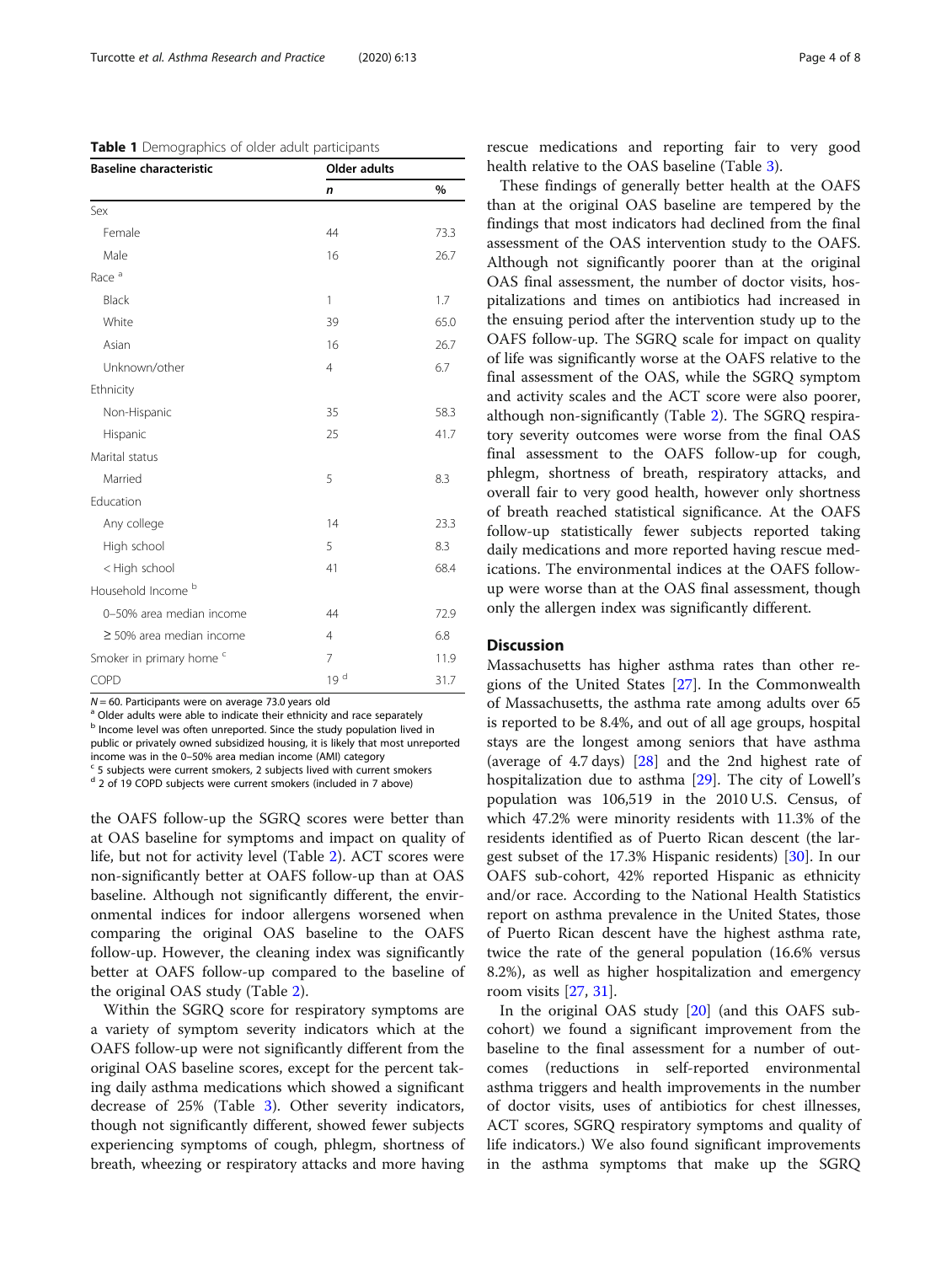<span id="page-3-0"></span>Table 1 Demographics of older adult participants

| <b>Baseline characteristic</b>      | <b>Older adults</b> |      |  |
|-------------------------------------|---------------------|------|--|
|                                     | n                   | $\%$ |  |
| Sex                                 |                     |      |  |
| Female                              | 44                  | 73.3 |  |
| Male                                | 16                  | 26.7 |  |
| Race <sup>a</sup>                   |                     |      |  |
| Black                               | 1                   | 1.7  |  |
| White                               | 39                  | 65.0 |  |
| Asian                               | 16                  | 26.7 |  |
| Unknown/other                       | $\overline{4}$      | 6.7  |  |
| Ethnicity                           |                     |      |  |
| Non-Hispanic                        | 35                  | 58.3 |  |
| Hispanic                            | 25                  | 41.7 |  |
| Marital status                      |                     |      |  |
| Married                             | 5                   | 8.3  |  |
| Education                           |                     |      |  |
| Any college                         | 14                  | 23.3 |  |
| High school                         | 5                   | 8.3  |  |
| < High school                       | 41                  | 68.4 |  |
| Household Income <sup>b</sup>       |                     |      |  |
| 0-50% area median income            | 44                  | 72.9 |  |
| $\geq$ 50% area median income       | $\overline{4}$      | 6.8  |  |
| Smoker in primary home <sup>c</sup> | 7                   | 11.9 |  |
| COPD                                | 19 <sup>d</sup>     | 31.7 |  |

 $N = 60$ . Participants were on average 73.0 years old<br><sup>a</sup> Older adults were able to indicate their ethnicity and race separately

<sup>b</sup> Income level was often unreported. Since the study population lived in

public or privately owned subsidized housing, it is likely that most unreported

income was in the 0–50% area median income (AMI) category c  $\frac{1}{5}$  subjects were current smokers, 2 subjects lived with current smokers

<sup>d</sup> 2 of 19 COPD subjects were current smokers (included in 7 above)

the OAFS follow-up the SGRQ scores were better than at OAS baseline for symptoms and impact on quality of life, but not for activity level (Table [2](#page-4-0)). ACT scores were non-significantly better at OAFS follow-up than at OAS baseline. Although not significantly different, the environmental indices for indoor allergens worsened when comparing the original OAS baseline to the OAFS follow-up. However, the cleaning index was significantly better at OAFS follow-up compared to the baseline of the original OAS study (Table [2\)](#page-4-0).

Within the SGRQ score for respiratory symptoms are a variety of symptom severity indicators which at the OAFS follow-up were not significantly different from the original OAS baseline scores, except for the percent taking daily asthma medications which showed a significant decrease of 25% (Table [3](#page-4-0)). Other severity indicators, though not significantly different, showed fewer subjects experiencing symptoms of cough, phlegm, shortness of breath, wheezing or respiratory attacks and more having

rescue medications and reporting fair to very good health relative to the OAS baseline (Table [3\)](#page-4-0).

These findings of generally better health at the OAFS than at the original OAS baseline are tempered by the findings that most indicators had declined from the final assessment of the OAS intervention study to the OAFS. Although not significantly poorer than at the original OAS final assessment, the number of doctor visits, hospitalizations and times on antibiotics had increased in the ensuing period after the intervention study up to the OAFS follow-up. The SGRQ scale for impact on quality of life was significantly worse at the OAFS relative to the final assessment of the OAS, while the SGRQ symptom and activity scales and the ACT score were also poorer, although non-significantly (Table [2\)](#page-4-0). The SGRQ respiratory severity outcomes were worse from the final OAS final assessment to the OAFS follow-up for cough, phlegm, shortness of breath, respiratory attacks, and overall fair to very good health, however only shortness of breath reached statistical significance. At the OAFS follow-up statistically fewer subjects reported taking daily medications and more reported having rescue medications. The environmental indices at the OAFS followup were worse than at the OAS final assessment, though only the allergen index was significantly different.

#### **Discussion**

Massachusetts has higher asthma rates than other regions of the United States [[27](#page-7-0)]. In the Commonwealth of Massachusetts, the asthma rate among adults over 65 is reported to be 8.4%, and out of all age groups, hospital stays are the longest among seniors that have asthma (average of 4.7 days)  $[28]$  $[28]$  and the 2nd highest rate of hospitalization due to asthma [[29\]](#page-7-0). The city of Lowell's population was 106,519 in the 2010 U.S. Census, of which 47.2% were minority residents with 11.3% of the residents identified as of Puerto Rican descent (the largest subset of the 17.3% Hispanic residents) [[30\]](#page-7-0). In our OAFS sub-cohort, 42% reported Hispanic as ethnicity and/or race. According to the National Health Statistics report on asthma prevalence in the United States, those of Puerto Rican descent have the highest asthma rate, twice the rate of the general population (16.6% versus 8.2%), as well as higher hospitalization and emergency room visits [\[27](#page-7-0), [31\]](#page-7-0).

In the original OAS study [\[20](#page-7-0)] (and this OAFS subcohort) we found a significant improvement from the baseline to the final assessment for a number of outcomes (reductions in self-reported environmental asthma triggers and health improvements in the number of doctor visits, uses of antibiotics for chest illnesses, ACT scores, SGRQ respiratory symptoms and quality of life indicators.) We also found significant improvements in the asthma symptoms that make up the SGRQ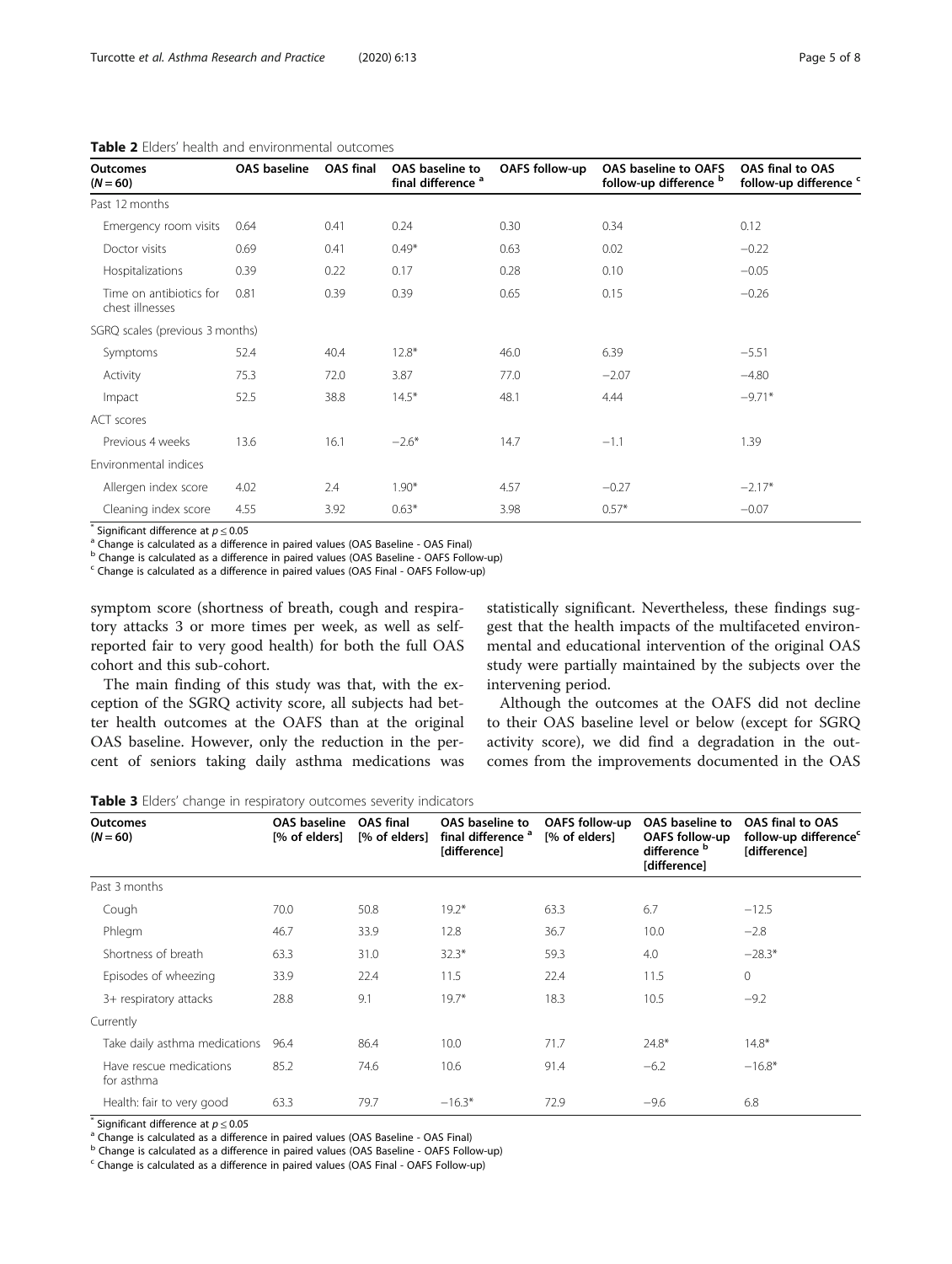| <b>Outcomes</b><br>$(N = 60)$              | <b>OAS</b> baseline | <b>OAS</b> final | <b>OAS</b> baseline to<br>final difference <sup>a</sup> | OAFS follow-up | OAS baseline to OAFS<br>follow-up difference b | <b>OAS final to OAS</b><br>follow-up difference c |
|--------------------------------------------|---------------------|------------------|---------------------------------------------------------|----------------|------------------------------------------------|---------------------------------------------------|
| Past 12 months                             |                     |                  |                                                         |                |                                                |                                                   |
| Emergency room visits                      | 0.64                | 0.41             | 0.24                                                    | 0.30           | 0.34                                           | 0.12                                              |
| Doctor visits                              | 0.69                | 0.41             | $0.49*$                                                 | 0.63           | 0.02                                           | $-0.22$                                           |
| Hospitalizations                           | 0.39                | 0.22             | 0.17                                                    | 0.28           | 0.10                                           | $-0.05$                                           |
| Time on antibiotics for<br>chest illnesses | 0.81                | 0.39             | 0.39                                                    | 0.65           | 0.15                                           | $-0.26$                                           |
| SGRQ scales (previous 3 months)            |                     |                  |                                                         |                |                                                |                                                   |
| Symptoms                                   | 52.4                | 40.4             | $12.8*$                                                 | 46.0           | 6.39                                           | $-5.51$                                           |
| Activity                                   | 75.3                | 72.0             | 3.87                                                    | 77.0           | $-2.07$                                        | $-4.80$                                           |
| Impact                                     | 52.5                | 38.8             | $14.5*$                                                 | 48.1           | 4.44                                           | $-9.71*$                                          |
| ACT scores                                 |                     |                  |                                                         |                |                                                |                                                   |
| Previous 4 weeks                           | 13.6                | 16.1             | $-2.6*$                                                 | 14.7           | $-1.1$                                         | 1.39                                              |
| Environmental indices                      |                     |                  |                                                         |                |                                                |                                                   |
| Allergen index score                       | 4.02                | 2.4              | $1.90*$                                                 | 4.57           | $-0.27$                                        | $-2.17*$                                          |
| Cleaning index score                       | 4.55                | 3.92             | $0.63*$                                                 | 3.98           | $0.57*$                                        | $-0.07$                                           |

#### <span id="page-4-0"></span>Table 2 Elders' health and environmental outcomes

\* Significant difference at  $p \le 0.05$ <br><sup>a</sup> Change is calculated as a difference in paired values (OAS Baseline - OAS Final)

<sup>b</sup> Change is calculated as a difference in paired values (OAS Baseline - OAFS Follow-up)

<sup>c</sup> Change is calculated as a difference in paired values (OAS Final - OAFS Follow-up)

symptom score (shortness of breath, cough and respiratory attacks 3 or more times per week, as well as selfreported fair to very good health) for both the full OAS cohort and this sub-cohort.

The main finding of this study was that, with the exception of the SGRQ activity score, all subjects had better health outcomes at the OAFS than at the original OAS baseline. However, only the reduction in the percent of seniors taking daily asthma medications was statistically significant. Nevertheless, these findings suggest that the health impacts of the multifaceted environmental and educational intervention of the original OAS study were partially maintained by the subjects over the intervening period.

Although the outcomes at the OAFS did not decline to their OAS baseline level or below (except for SGRQ activity score), we did find a degradation in the outcomes from the improvements documented in the OAS

Table 3 Elders' change in respiratory outcomes severity indicators

| <b>Outcomes</b><br>$(N = 60)$         | <b>OAS</b> baseline<br>[% of elders] | OAS final<br>[% of elders] | OAS baseline to<br>final difference <sup>a</sup><br>[difference] | OAFS follow-up<br>[% of elders] | <b>OAS</b> baseline to<br>OAFS follow-up<br>difference b<br>[difference] | <b>OAS final to OAS</b><br>follow-up difference <sup>c</sup><br>[difference] |
|---------------------------------------|--------------------------------------|----------------------------|------------------------------------------------------------------|---------------------------------|--------------------------------------------------------------------------|------------------------------------------------------------------------------|
| Past 3 months                         |                                      |                            |                                                                  |                                 |                                                                          |                                                                              |
| Cough                                 | 70.0                                 | 50.8                       | $19.2*$                                                          | 63.3                            | 6.7                                                                      | $-12.5$                                                                      |
| Phlegm                                | 46.7                                 | 33.9                       | 12.8                                                             | 36.7                            | 10.0                                                                     | $-2.8$                                                                       |
| Shortness of breath                   | 63.3                                 | 31.0                       | $32.3*$                                                          | 59.3                            | 4.0                                                                      | $-28.3*$                                                                     |
| Episodes of wheezing                  | 33.9                                 | 22.4                       | 11.5                                                             | 22.4                            | 11.5                                                                     | $\mathbf{0}$                                                                 |
| 3+ respiratory attacks                | 28.8                                 | 9.1                        | $19.7*$                                                          | 18.3                            | 10.5                                                                     | $-9.2$                                                                       |
| Currently                             |                                      |                            |                                                                  |                                 |                                                                          |                                                                              |
| Take daily asthma medications         | 96.4                                 | 86.4                       | 10.0                                                             | 71.7                            | $24.8*$                                                                  | $14.8*$                                                                      |
| Have rescue medications<br>for asthma | 85.2                                 | 74.6                       | 10.6                                                             | 91.4                            | $-6.2$                                                                   | $-16.8*$                                                                     |
| Health: fair to very good             | 63.3                                 | 79.7                       | $-16.3*$                                                         | 72.9                            | $-9.6$                                                                   | 6.8                                                                          |

\* Significant difference at  $p \le 0.05$ <br><sup>a</sup> Change is calculated as a difference in paired values (OAS Baseline - OAS Final)

b Change is calculated as a difference in paired values (OAS Baseline - OAFS Follow-up)

 $\textdegree$  Change is calculated as a difference in paired values (OAS Final - OAFS Follow-up)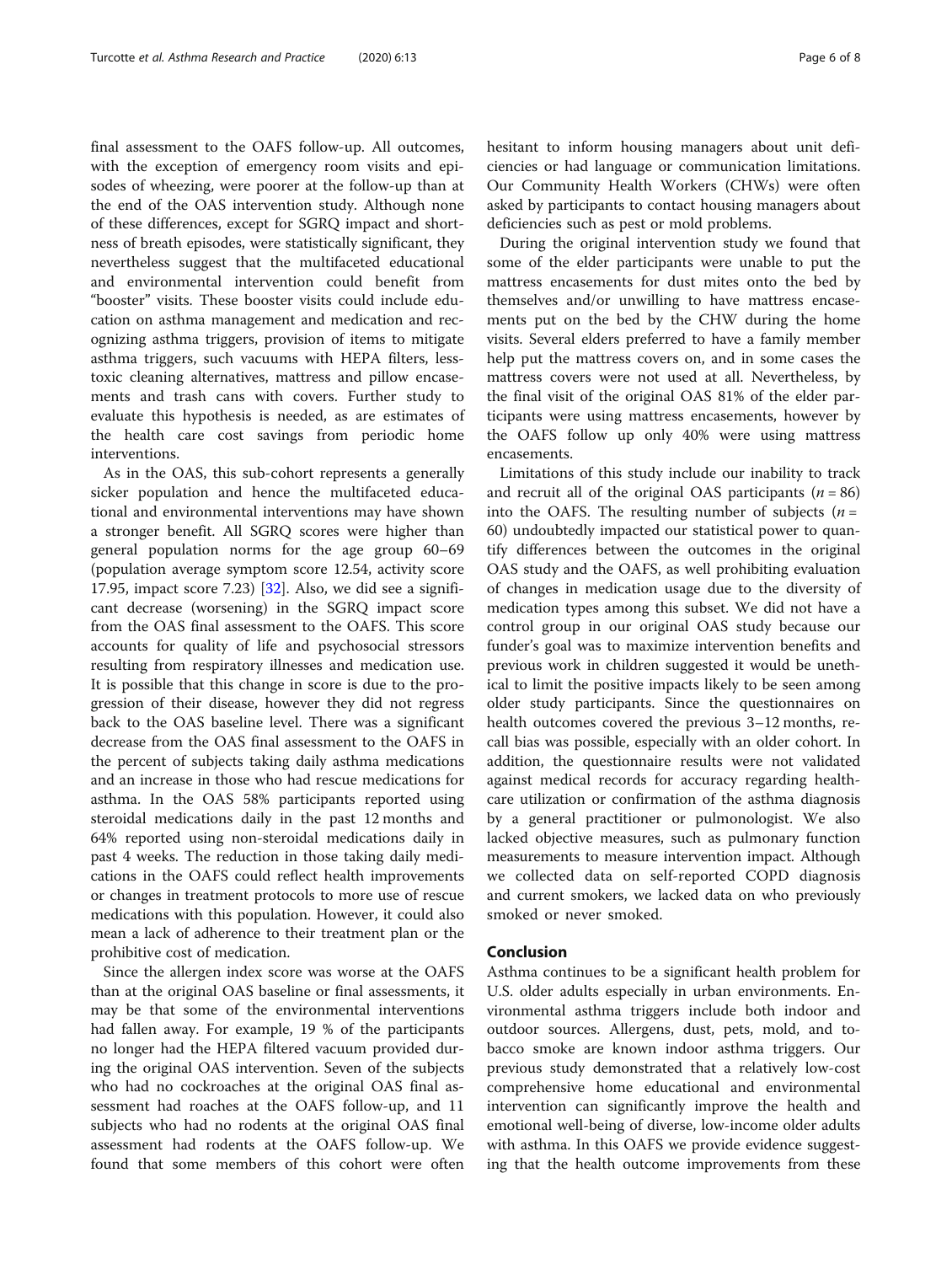final assessment to the OAFS follow-up. All outcomes, with the exception of emergency room visits and episodes of wheezing, were poorer at the follow-up than at the end of the OAS intervention study. Although none of these differences, except for SGRQ impact and shortness of breath episodes, were statistically significant, they nevertheless suggest that the multifaceted educational and environmental intervention could benefit from "booster" visits. These booster visits could include education on asthma management and medication and recognizing asthma triggers, provision of items to mitigate asthma triggers, such vacuums with HEPA filters, lesstoxic cleaning alternatives, mattress and pillow encasements and trash cans with covers. Further study to evaluate this hypothesis is needed, as are estimates of the health care cost savings from periodic home interventions.

As in the OAS, this sub-cohort represents a generally sicker population and hence the multifaceted educational and environmental interventions may have shown a stronger benefit. All SGRQ scores were higher than general population norms for the age group 60–69 (population average symptom score 12.54, activity score 17.95, impact score 7.23)  $[32]$ . Also, we did see a significant decrease (worsening) in the SGRQ impact score from the OAS final assessment to the OAFS. This score accounts for quality of life and psychosocial stressors resulting from respiratory illnesses and medication use. It is possible that this change in score is due to the progression of their disease, however they did not regress back to the OAS baseline level. There was a significant decrease from the OAS final assessment to the OAFS in the percent of subjects taking daily asthma medications and an increase in those who had rescue medications for asthma. In the OAS 58% participants reported using steroidal medications daily in the past 12 months and 64% reported using non-steroidal medications daily in past 4 weeks. The reduction in those taking daily medications in the OAFS could reflect health improvements or changes in treatment protocols to more use of rescue medications with this population. However, it could also mean a lack of adherence to their treatment plan or the prohibitive cost of medication.

Since the allergen index score was worse at the OAFS than at the original OAS baseline or final assessments, it may be that some of the environmental interventions had fallen away. For example, 19 % of the participants no longer had the HEPA filtered vacuum provided during the original OAS intervention. Seven of the subjects who had no cockroaches at the original OAS final assessment had roaches at the OAFS follow-up, and 11 subjects who had no rodents at the original OAS final assessment had rodents at the OAFS follow-up. We found that some members of this cohort were often hesitant to inform housing managers about unit deficiencies or had language or communication limitations. Our Community Health Workers (CHWs) were often asked by participants to contact housing managers about deficiencies such as pest or mold problems.

During the original intervention study we found that some of the elder participants were unable to put the mattress encasements for dust mites onto the bed by themselves and/or unwilling to have mattress encasements put on the bed by the CHW during the home visits. Several elders preferred to have a family member help put the mattress covers on, and in some cases the mattress covers were not used at all. Nevertheless, by the final visit of the original OAS 81% of the elder participants were using mattress encasements, however by the OAFS follow up only 40% were using mattress encasements.

Limitations of this study include our inability to track and recruit all of the original OAS participants ( $n = 86$ ) into the OAFS. The resulting number of subjects  $(n =$ 60) undoubtedly impacted our statistical power to quantify differences between the outcomes in the original OAS study and the OAFS, as well prohibiting evaluation of changes in medication usage due to the diversity of medication types among this subset. We did not have a control group in our original OAS study because our funder's goal was to maximize intervention benefits and previous work in children suggested it would be unethical to limit the positive impacts likely to be seen among older study participants. Since the questionnaires on health outcomes covered the previous 3–12 months, recall bias was possible, especially with an older cohort. In addition, the questionnaire results were not validated against medical records for accuracy regarding healthcare utilization or confirmation of the asthma diagnosis by a general practitioner or pulmonologist. We also lacked objective measures, such as pulmonary function measurements to measure intervention impact. Although we collected data on self-reported COPD diagnosis and current smokers, we lacked data on who previously smoked or never smoked.

#### Conclusion

Asthma continues to be a significant health problem for U.S. older adults especially in urban environments. Environmental asthma triggers include both indoor and outdoor sources. Allergens, dust, pets, mold, and tobacco smoke are known indoor asthma triggers. Our previous study demonstrated that a relatively low-cost comprehensive home educational and environmental intervention can significantly improve the health and emotional well-being of diverse, low-income older adults with asthma. In this OAFS we provide evidence suggesting that the health outcome improvements from these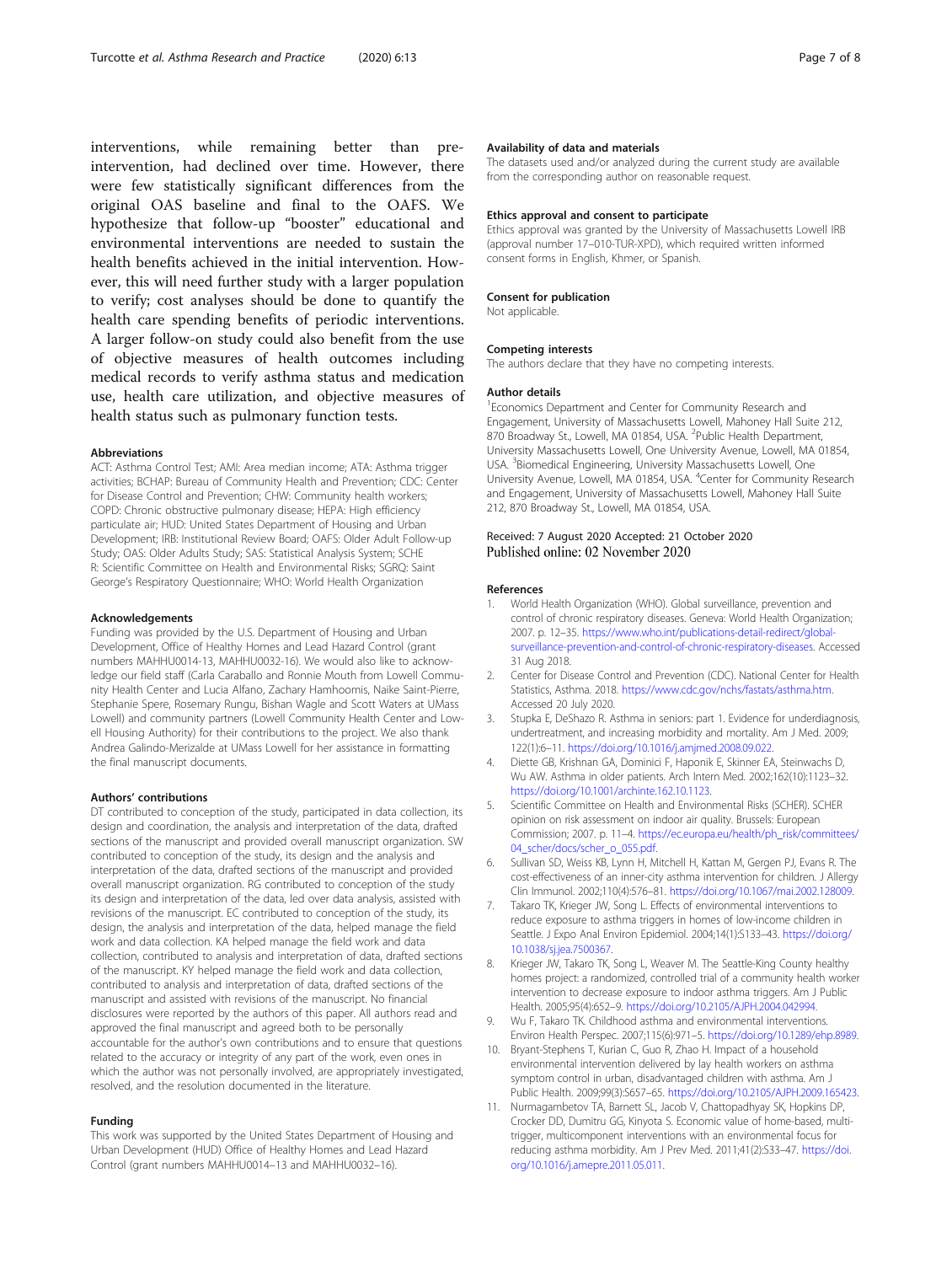<span id="page-6-0"></span>interventions, while remaining better than preintervention, had declined over time. However, there were few statistically significant differences from the original OAS baseline and final to the OAFS. We hypothesize that follow-up "booster" educational and environmental interventions are needed to sustain the health benefits achieved in the initial intervention. However, this will need further study with a larger population to verify; cost analyses should be done to quantify the health care spending benefits of periodic interventions. A larger follow-on study could also benefit from the use of objective measures of health outcomes including medical records to verify asthma status and medication use, health care utilization, and objective measures of health status such as pulmonary function tests.

#### Abbreviations

ACT: Asthma Control Test; AMI: Area median income; ATA: Asthma trigger activities; BCHAP: Bureau of Community Health and Prevention; CDC: Center for Disease Control and Prevention; CHW: Community health workers; COPD: Chronic obstructive pulmonary disease; HEPA: High efficiency particulate air; HUD: United States Department of Housing and Urban Development; IRB: Institutional Review Board; OAFS: Older Adult Follow-up Study; OAS: Older Adults Study; SAS: Statistical Analysis System; SCHE R: Scientific Committee on Health and Environmental Risks; SGRQ: Saint George's Respiratory Questionnaire; WHO: World Health Organization

#### Acknowledgements

Funding was provided by the U.S. Department of Housing and Urban Development, Office of Healthy Homes and Lead Hazard Control (grant numbers MAHHU0014-13, MAHHU0032-16). We would also like to acknowledge our field staff (Carla Caraballo and Ronnie Mouth from Lowell Community Health Center and Lucia Alfano, Zachary Hamhoomis, Naike Saint-Pierre, Stephanie Spere, Rosemary Rungu, Bishan Wagle and Scott Waters at UMass Lowell) and community partners (Lowell Community Health Center and Lowell Housing Authority) for their contributions to the project. We also thank Andrea Galindo-Merizalde at UMass Lowell for her assistance in formatting the final manuscript documents.

#### Authors' contributions

DT contributed to conception of the study, participated in data collection, its design and coordination, the analysis and interpretation of the data, drafted sections of the manuscript and provided overall manuscript organization. SW contributed to conception of the study, its design and the analysis and interpretation of the data, drafted sections of the manuscript and provided overall manuscript organization. RG contributed to conception of the study its design and interpretation of the data, led over data analysis, assisted with revisions of the manuscript. EC contributed to conception of the study, its design, the analysis and interpretation of the data, helped manage the field work and data collection. KA helped manage the field work and data collection, contributed to analysis and interpretation of data, drafted sections of the manuscript. KY helped manage the field work and data collection, contributed to analysis and interpretation of data, drafted sections of the manuscript and assisted with revisions of the manuscript. No financial disclosures were reported by the authors of this paper. All authors read and approved the final manuscript and agreed both to be personally accountable for the author's own contributions and to ensure that questions related to the accuracy or integrity of any part of the work, even ones in which the author was not personally involved, are appropriately investigated, resolved, and the resolution documented in the literature.

#### Funding

This work was supported by the United States Department of Housing and Urban Development (HUD) Office of Healthy Homes and Lead Hazard Control (grant numbers MAHHU0014–13 and MAHHU0032–16).

#### Availability of data and materials

The datasets used and/or analyzed during the current study are available from the corresponding author on reasonable request.

#### Ethics approval and consent to participate

Ethics approval was granted by the University of Massachusetts Lowell IRB (approval number 17–010-TUR-XPD), which required written informed consent forms in English, Khmer, or Spanish.

#### Consent for publication

Not applicable.

#### Competing interests

The authors declare that they have no competing interests.

#### Author details

<sup>1</sup> Economics Department and Center for Community Research and Engagement, University of Massachusetts Lowell, Mahoney Hall Suite 212, 870 Broadway St., Lowell, MA 01854, USA. <sup>2</sup>Public Health Department, University Massachusetts Lowell, One University Avenue, Lowell, MA 01854, USA. <sup>3</sup> Biomedical Engineering, University Massachusetts Lowell, One University Avenue, Lowell, MA 01854, USA. <sup>4</sup>Center for Community Research and Engagement, University of Massachusetts Lowell, Mahoney Hall Suite 212, 870 Broadway St., Lowell, MA 01854, USA.

#### Received: 7 August 2020 Accepted: 21 October 2020 Published online: 02 November 2020

#### References

- 1. World Health Organization (WHO). Global surveillance, prevention and control of chronic respiratory diseases. Geneva: World Health Organization; 2007. p. 12–35. [https://www.who.int/publications-detail-redirect/global](https://www.who.int/publications-detail-redirect/global-surveillance-prevention-and-control-of-chronic-respiratory-diseases)[surveillance-prevention-and-control-of-chronic-respiratory-diseases.](https://www.who.int/publications-detail-redirect/global-surveillance-prevention-and-control-of-chronic-respiratory-diseases) Accessed 31 Aug 2018.
- 2. Center for Disease Control and Prevention (CDC). National Center for Health Statistics, Asthma. 2018. <https://www.cdc.gov/nchs/fastats/asthma.htm>. Accessed 20 July 2020.
- 3. Stupka E, DeShazo R. Asthma in seniors: part 1. Evidence for underdiagnosis, undertreatment, and increasing morbidity and mortality. Am J Med. 2009; 122(1):6–11. <https://doi.org/10.1016/j.amjmed.2008.09.022>.
- 4. Diette GB, Krishnan GA, Dominici F, Haponik E, Skinner EA, Steinwachs D, Wu AW. Asthma in older patients. Arch Intern Med. 2002;162(10):1123–32. <https://doi.org/10.1001/archinte.162.10.1123>.
- 5. Scientific Committee on Health and Environmental Risks (SCHER). SCHER opinion on risk assessment on indoor air quality. Brussels: European Commission; 2007. p. 11–4. [https://ec.europa.eu/health/ph\\_risk/committees/](https://ec.europa.eu/health/ph_risk/committees/04_scher/docs/scher_o_055.pdf) [04\\_scher/docs/scher\\_o\\_055.pdf](https://ec.europa.eu/health/ph_risk/committees/04_scher/docs/scher_o_055.pdf).
- 6. Sullivan SD, Weiss KB, Lynn H, Mitchell H, Kattan M, Gergen PJ, Evans R. The cost-effectiveness of an inner-city asthma intervention for children. J Allergy Clin Immunol. 2002;110(4):576–81. <https://doi.org/10.1067/mai.2002.128009>.
- 7. Takaro TK, Krieger JW, Song L. Effects of environmental interventions to reduce exposure to asthma triggers in homes of low-income children in Seattle. J Expo Anal Environ Epidemiol. 2004;14(1):S133–43. [https://doi.org/](https://doi.org/10.1038/sj.jea.7500367) [10.1038/sj.jea.7500367](https://doi.org/10.1038/sj.jea.7500367).
- 8. Krieger JW, Takaro TK, Song L, Weaver M. The Seattle-King County healthy homes project: a randomized, controlled trial of a community health worker intervention to decrease exposure to indoor asthma triggers. Am J Public Health. 2005;95(4):652–9. <https://doi.org/10.2105/AJPH.2004.042994>.
- 9. Wu F, Takaro TK. Childhood asthma and environmental interventions. Environ Health Perspec. 2007;115(6):971–5. <https://doi.org/10.1289/ehp.8989>.
- 10. Bryant-Stephens T, Kurian C, Guo R, Zhao H. Impact of a household environmental intervention delivered by lay health workers on asthma symptom control in urban, disadvantaged children with asthma. Am J Public Health. 2009;99(3):S657–65. <https://doi.org/10.2105/AJPH.2009.165423>.
- 11. Nurmagambetov TA, Barnett SL, Jacob V, Chattopadhyay SK, Hopkins DP, Crocker DD, Dumitru GG, Kinyota S. Economic value of home-based, multitrigger, multicomponent interventions with an environmental focus for reducing asthma morbidity. Am J Prev Med. 2011;41(2):S33–47. [https://doi.](https://doi.org/10.1016/j.amepre.2011.05.011) [org/10.1016/j.amepre.2011.05.011.](https://doi.org/10.1016/j.amepre.2011.05.011)